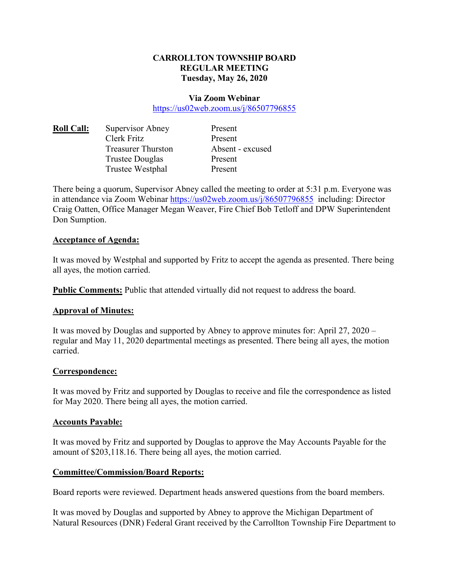## **CARROLLTON TOWNSHIP BOARD REGULAR MEETING Tuesday, May 26, 2020**

#### **Via Zoom Webinar**

https://us02web.zoom.us/j/86507796855

| <b>Roll Call:</b> | Supervisor Abney          | Present  |
|-------------------|---------------------------|----------|
|                   | Clerk Fritz               | Present  |
|                   | <b>Treasurer Thurston</b> | Absent · |
|                   | <b>Trustee Douglas</b>    | Present  |
|                   | Trustee Westphal          | Present  |

Present Absent - excused Present Present

There being a quorum, Supervisor Abney called the meeting to order at 5:31 p.m. Everyone was in attendance via Zoom Webinar https://us02web.zoom.us/j/86507796855 including: Director Craig Oatten, Office Manager Megan Weaver, Fire Chief Bob Tetloff and DPW Superintendent Don Sumption.

### **Acceptance of Agenda:**

It was moved by Westphal and supported by Fritz to accept the agenda as presented. There being all ayes, the motion carried.

**Public Comments:** Public that attended virtually did not request to address the board.

### **Approval of Minutes:**

It was moved by Douglas and supported by Abney to approve minutes for: April 27, 2020 – regular and May 11, 2020 departmental meetings as presented. There being all ayes, the motion carried.

### **Correspondence:**

It was moved by Fritz and supported by Douglas to receive and file the correspondence as listed for May 2020. There being all ayes, the motion carried.

### **Accounts Payable:**

It was moved by Fritz and supported by Douglas to approve the May Accounts Payable for the amount of \$203,118.16. There being all ayes, the motion carried.

### **Committee/Commission/Board Reports:**

Board reports were reviewed. Department heads answered questions from the board members.

It was moved by Douglas and supported by Abney to approve the Michigan Department of Natural Resources (DNR) Federal Grant received by the Carrollton Township Fire Department to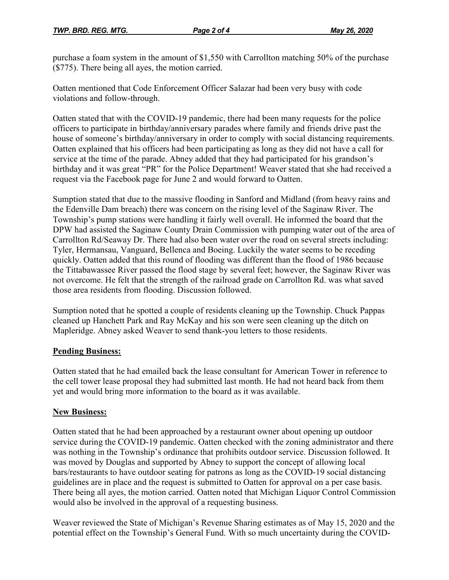purchase a foam system in the amount of \$1,550 with Carrollton matching 50% of the purchase (\$775). There being all ayes, the motion carried.

Oatten mentioned that Code Enforcement Officer Salazar had been very busy with code violations and follow-through.

Oatten stated that with the COVID-19 pandemic, there had been many requests for the police officers to participate in birthday/anniversary parades where family and friends drive past the house of someone's birthday/anniversary in order to comply with social distancing requirements. Oatten explained that his officers had been participating as long as they did not have a call for service at the time of the parade. Abney added that they had participated for his grandson's birthday and it was great "PR" for the Police Department! Weaver stated that she had received a request via the Facebook page for June 2 and would forward to Oatten.

Sumption stated that due to the massive flooding in Sanford and Midland (from heavy rains and the Edenville Dam breach) there was concern on the rising level of the Saginaw River. The Township's pump stations were handling it fairly well overall. He informed the board that the DPW had assisted the Saginaw County Drain Commission with pumping water out of the area of Carrollton Rd/Seaway Dr. There had also been water over the road on several streets including: Tyler, Hermansau, Vanguard, Bellenca and Boeing. Luckily the water seems to be receding quickly. Oatten added that this round of flooding was different than the flood of 1986 because the Tittabawassee River passed the flood stage by several feet; however, the Saginaw River was not overcome. He felt that the strength of the railroad grade on Carrollton Rd. was what saved those area residents from flooding. Discussion followed.

Sumption noted that he spotted a couple of residents cleaning up the Township. Chuck Pappas cleaned up Hanchett Park and Ray McKay and his son were seen cleaning up the ditch on Mapleridge. Abney asked Weaver to send thank-you letters to those residents.

## **Pending Business:**

Oatten stated that he had emailed back the lease consultant for American Tower in reference to the cell tower lease proposal they had submitted last month. He had not heard back from them yet and would bring more information to the board as it was available.

## **New Business:**

Oatten stated that he had been approached by a restaurant owner about opening up outdoor service during the COVID-19 pandemic. Oatten checked with the zoning administrator and there was nothing in the Township's ordinance that prohibits outdoor service. Discussion followed. It was moved by Douglas and supported by Abney to support the concept of allowing local bars/restaurants to have outdoor seating for patrons as long as the COVID-19 social distancing guidelines are in place and the request is submitted to Oatten for approval on a per case basis. There being all ayes, the motion carried. Oatten noted that Michigan Liquor Control Commission would also be involved in the approval of a requesting business.

Weaver reviewed the State of Michigan's Revenue Sharing estimates as of May 15, 2020 and the potential effect on the Township's General Fund. With so much uncertainty during the COVID-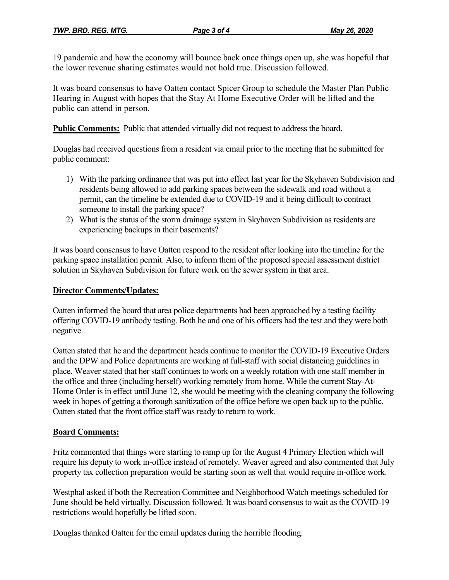19 pandemic and how the economy will bounce back once things open up, she was hopeful that the lower revenue sharing estimates would not hold true. Discussion followed.

It was board consensus to have Oatten contact Spicer Group to schedule the Master Plan Public Hearing in August with hopes that the Stay At Home Executive Order will be lifted and the public can attend in person.

**Public Comments:** Public that attended virtually did not request to address the board.

Douglas had received questions from a resident via email prior to the meeting that he submitted for public comment:

- 1) With the parking ordinance that was put into effect last year for the Skyhaven Subdivision and residents being allowed to add parking spaces between the sidewalk and road without a permit, can the timeline be extended due to COVID-19 and it being difficult to contract someone to install the parking space?
- 2) What is the status of the storm drainage system in Skyhaven Subdivision as residents are experiencing backups in their basements?

It was board consensus to have Oatten respond to the resident after looking into the timeline for the parking space installation permit. Also, to inform them of the proposed special assessment district solution in Skyhaven Subdivision for future work on the sewer system in that area.

## **Director Comments/Updates:**

Oatten informed the board that area police departments had been approached by a testing facility offering COVID-19 antibody testing. Both he and one of his officers had the test and they were both negative.

Oatten stated that he and the department heads continue to monitor the COVID-19 Executive Orders and the DPW and Police departments are working at full-staff with social distancing guidelines in place. Weaver stated that her staff continues to work on a weekly rotation with one staff member in the office and three (including herself) working remotely from home. While the current Stay-At-Home Order is in effect until June 12, she would be meeting with the cleaning company the following week in hopes of getting a thorough sanitization of the office before we open back up to the public. Oatten stated that the front office staff was ready to return to work.

## **Board Comments:**

Fritz commented that things were starting to ramp up for the August 4 Primary Election which will require his deputy to work in-office instead of remotely. Weaver agreed and also commented that July property tax collection preparation would be starting soon as well that would require in-office work.

Westphal asked if both the Recreation Committee and Neighborhood Watch meetings scheduled for June should be held virtually. Discussion followed. It was board consensus to wait as the COVID-19 restrictions would hopefully be lifted soon.

Douglas thanked Oatten for the email updates during the horrible flooding.